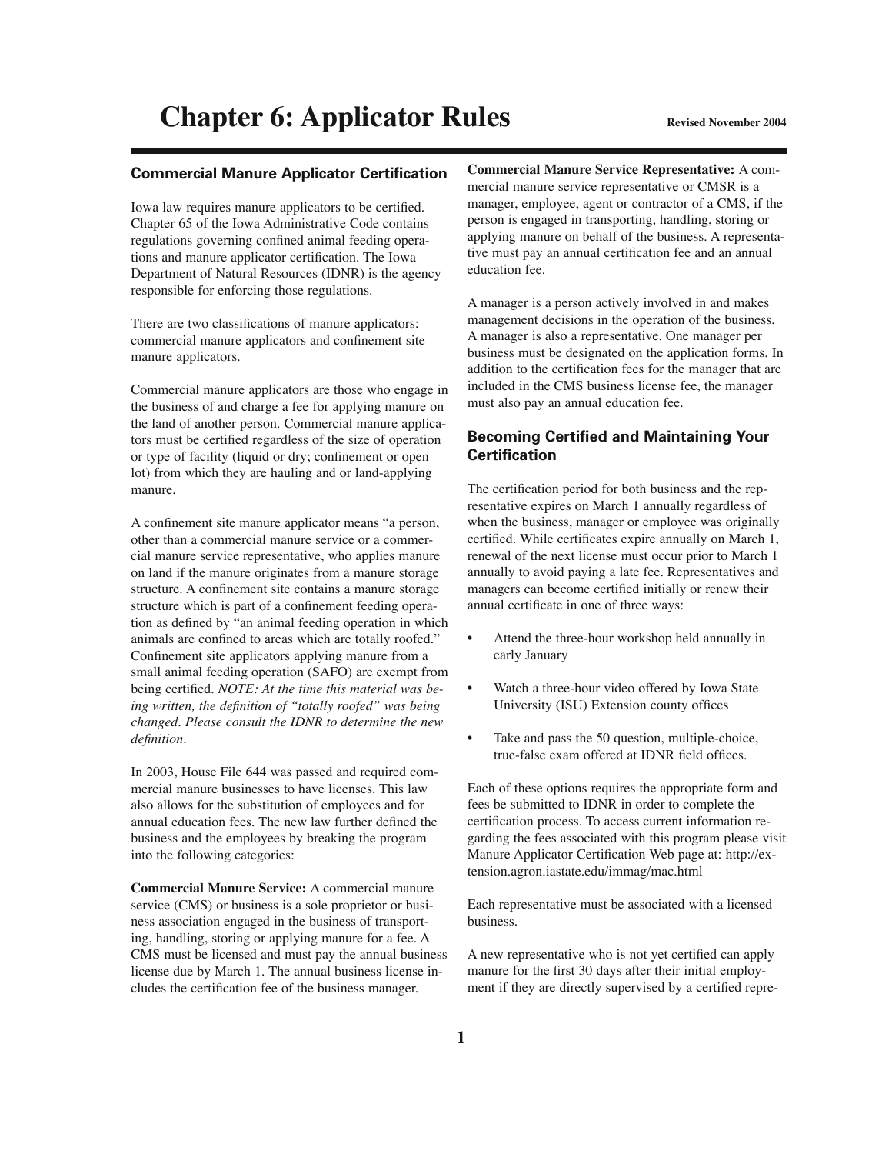#### **Commercial Manure Applicator Certification**

Iowa law requires manure applicators to be certified. Chapter 65 of the Iowa Administrative Code contains regulations governing confined animal feeding operations and manure applicator certification. The Iowa Department of Natural Resources (IDNR) is the agency responsible for enforcing those regulations.

There are two classifications of manure applicators: commercial manure applicators and confinement site manure applicators.

Commercial manure applicators are those who engage in the business of and charge a fee for applying manure on the land of another person. Commercial manure applicators must be certified regardless of the size of operation or type of facility (liquid or dry; confinement or open lot) from which they are hauling and or land-applying manure.

A confinement site manure applicator means "a person, other than a commercial manure service or a commercial manure service representative, who applies manure on land if the manure originates from a manure storage structure. A confinement site contains a manure storage structure which is part of a confinement feeding operation as defined by "an animal feeding operation in which animals are confined to areas which are totally roofed." Confinement site applicators applying manure from a small animal feeding operation (SAFO) are exempt from being certified. *NOTE: At the time this material was be*ing written, the definition of "totally roofed" was being *changed. Please consult the IDNR to determine the new*   $definition.$ 

In 2003, House File 644 was passed and required commercial manure businesses to have licenses. This law also allows for the substitution of employees and for annual education fees. The new law further defined the business and the employees by breaking the program into the following categories:

**Commercial Manure Service:** A commercial manure service (CMS) or business is a sole proprietor or business association engaged in the business of transporting, handling, storing or applying manure for a fee. A CMS must be licensed and must pay the annual business license due by March 1. The annual business license includes the certification fee of the business manager.

**Commercial Manure Service Representative:** A commercial manure service representative or CMSR is a manager, employee, agent or contractor of a CMS, if the person is engaged in transporting, handling, storing or applying manure on behalf of the business. A representative must pay an annual certification fee and an annual education fee.

A manager is a person actively involved in and makes management decisions in the operation of the business. A manager is also a representative. One manager per business must be designated on the application forms. In addition to the certification fees for the manager that are included in the CMS business license fee, the manager must also pay an annual education fee.

### **Becoming Certified and Maintaining Your Certifi cation**

The certification period for both business and the representative expires on March 1 annually regardless of when the business, manager or employee was originally certified. While certificates expire annually on March 1, renewal of the next license must occur prior to March 1 annually to avoid paying a late fee. Representatives and managers can become certified initially or renew their annual certificate in one of three ways:

- Attend the three-hour workshop held annually in early January
- Watch a three-hour video offered by Iowa State University (ISU) Extension county offices
- Take and pass the 50 question, multiple-choice, true-false exam offered at IDNR field offices.

Each of these options requires the appropriate form and fees be submitted to IDNR in order to complete the certification process. To access current information regarding the fees associated with this program please visit Manure Applicator Certification Web page at: http://extension.agron.iastate.edu/immag/mac.html

Each representative must be associated with a licensed business.

A new representative who is not yet certified can apply manure for the first 30 days after their initial employment if they are directly supervised by a certified repre-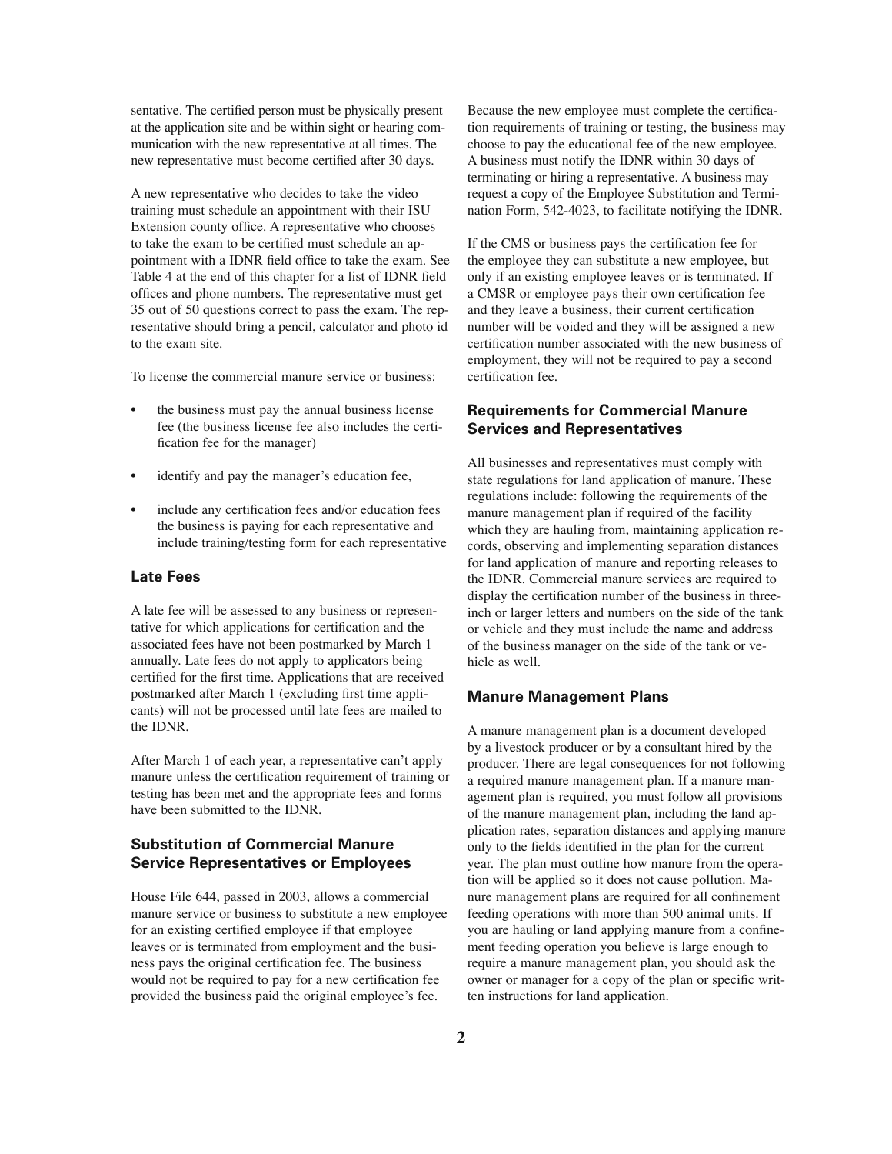sentative. The certified person must be physically present at the application site and be within sight or hearing communication with the new representative at all times. The new representative must become certified after 30 days.

A new representative who decides to take the video training must schedule an appointment with their ISU Extension county office. A representative who chooses to take the exam to be certified must schedule an appointment with a IDNR field office to take the exam. See Table 4 at the end of this chapter for a list of IDNR field offices and phone numbers. The representative must get 35 out of 50 questions correct to pass the exam. The representative should bring a pencil, calculator and photo id to the exam site.

To license the commercial manure service or business:

- the business must pay the annual business license fee (the business license fee also includes the certification fee for the manager)
- identify and pay the manager's education fee,
- include any certification fees and/or education fees the business is paying for each representative and include training/testing form for each representative

#### **Late Fees**

A late fee will be assessed to any business or representative for which applications for certification and the associated fees have not been postmarked by March 1 annually. Late fees do not apply to applicators being certified for the first time. Applications that are received postmarked after March 1 (excluding first time applicants) will not be processed until late fees are mailed to the IDNR.

After March 1 of each year, a representative can't apply manure unless the certification requirement of training or testing has been met and the appropriate fees and forms have been submitted to the IDNR.

### **Substitution of Commercial Manure Service Representatives or Employees**

House File 644, passed in 2003, allows a commercial manure service or business to substitute a new employee for an existing certified employee if that employee leaves or is terminated from employment and the business pays the original certification fee. The business would not be required to pay for a new certification fee provided the business paid the original employee's fee.

Because the new employee must complete the certification requirements of training or testing, the business may choose to pay the educational fee of the new employee. A business must notify the IDNR within 30 days of terminating or hiring a representative. A business may request a copy of the Employee Substitution and Termination Form, 542-4023, to facilitate notifying the IDNR.

If the CMS or business pays the certification fee for the employee they can substitute a new employee, but only if an existing employee leaves or is terminated. If a CMSR or employee pays their own certification fee and they leave a business, their current certification number will be voided and they will be assigned a new certification number associated with the new business of employment, they will not be required to pay a second certification fee.

### **Requirements for Commercial Manure Services and Representatives**

All businesses and representatives must comply with state regulations for land application of manure. These regulations include: following the requirements of the manure management plan if required of the facility which they are hauling from, maintaining application records, observing and implementing separation distances for land application of manure and reporting releases to the IDNR. Commercial manure services are required to display the certification number of the business in threeinch or larger letters and numbers on the side of the tank or vehicle and they must include the name and address of the business manager on the side of the tank or vehicle as well.

#### **Manure Management Plans**

A manure management plan is a document developed by a livestock producer or by a consultant hired by the producer. There are legal consequences for not following a required manure management plan. If a manure management plan is required, you must follow all provisions of the manure management plan, including the land application rates, separation distances and applying manure only to the fields identified in the plan for the current year. The plan must outline how manure from the operation will be applied so it does not cause pollution. Manure management plans are required for all confinement feeding operations with more than 500 animal units. If you are hauling or land applying manure from a confinement feeding operation you believe is large enough to require a manure management plan, you should ask the owner or manager for a copy of the plan or specific written instructions for land application.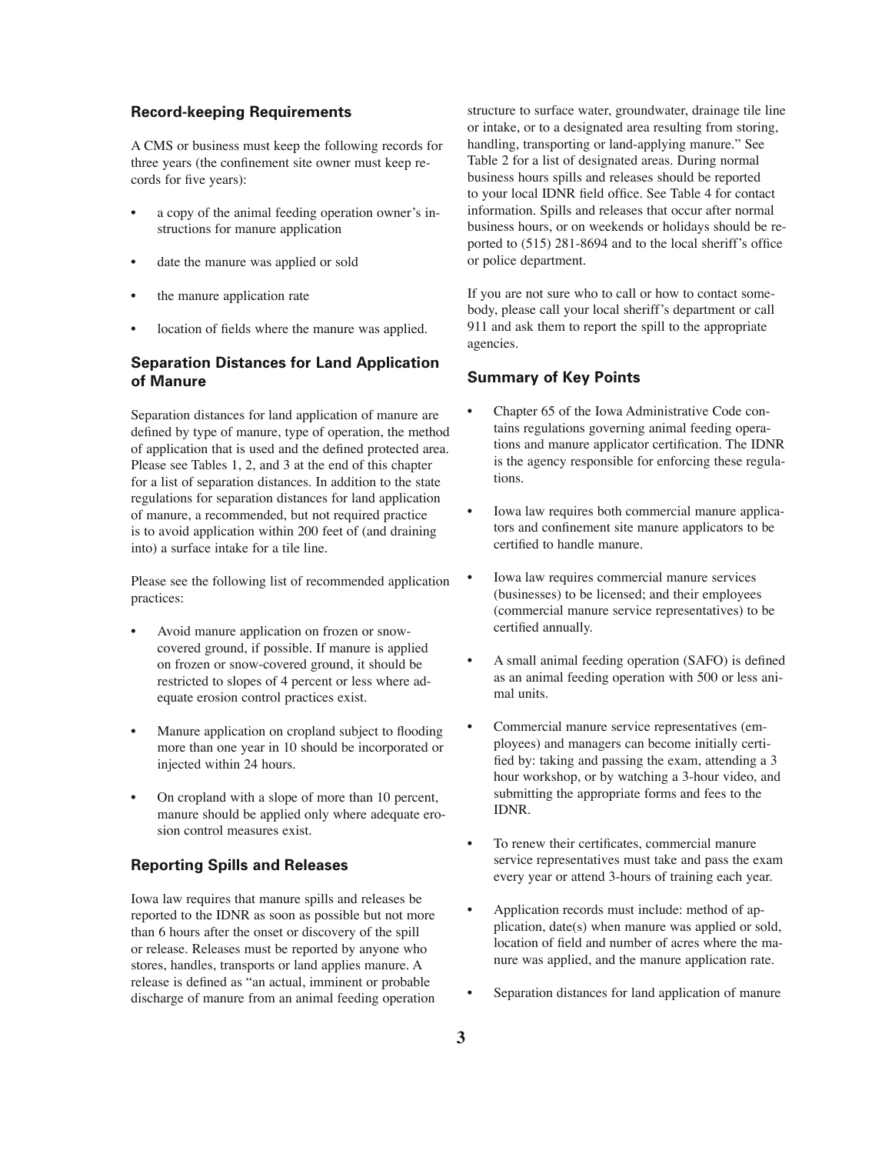### **Record-keeping Requirements**

A CMS or business must keep the following records for three years (the confinement site owner must keep records for five years):

- a copy of the animal feeding operation owner's instructions for manure application
- date the manure was applied or sold
- the manure application rate
- location of fields where the manure was applied.

## **Separation Distances for Land Application of Manure**

Separation distances for land application of manure are defined by type of manure, type of operation, the method of application that is used and the defined protected area. Please see Tables 1, 2, and 3 at the end of this chapter for a list of separation distances. In addition to the state regulations for separation distances for land application of manure, a recommended, but not required practice is to avoid application within 200 feet of (and draining into) a surface intake for a tile line.

Please see the following list of recommended application practices:

- Avoid manure application on frozen or snowcovered ground, if possible. If manure is applied on frozen or snow-covered ground, it should be restricted to slopes of 4 percent or less where adequate erosion control practices exist.
- Manure application on cropland subject to flooding more than one year in 10 should be incorporated or injected within 24 hours.
- On cropland with a slope of more than 10 percent, manure should be applied only where adequate erosion control measures exist.

### **Reporting Spills and Releases**

Iowa law requires that manure spills and releases be reported to the IDNR as soon as possible but not more than 6 hours after the onset or discovery of the spill or release. Releases must be reported by anyone who stores, handles, transports or land applies manure. A release is defined as "an actual, imminent or probable discharge of manure from an animal feeding operation

structure to surface water, groundwater, drainage tile line or intake, or to a designated area resulting from storing, handling, transporting or land-applying manure." See Table 2 for a list of designated areas. During normal business hours spills and releases should be reported to your local IDNR field office. See Table 4 for contact information. Spills and releases that occur after normal business hours, or on weekends or holidays should be reported to  $(515)$  281-8694 and to the local sheriff's office or police department.

If you are not sure who to call or how to contact somebody, please call your local sheriff's department or call 911 and ask them to report the spill to the appropriate agencies.

### **Summary of Key Points**

- Chapter 65 of the Iowa Administrative Code contains regulations governing animal feeding operations and manure applicator certification. The IDNR is the agency responsible for enforcing these regulations.
- Iowa law requires both commercial manure applicators and confinement site manure applicators to be certified to handle manure.
- Iowa law requires commercial manure services (businesses) to be licensed; and their employees (commercial manure service representatives) to be certified annually.
- A small animal feeding operation (SAFO) is defined as an animal feeding operation with 500 or less animal units.
- Commercial manure service representatives (employees) and managers can become initially certified by: taking and passing the exam, attending a 3 hour workshop, or by watching a 3-hour video, and submitting the appropriate forms and fees to the IDNR.
- To renew their certificates, commercial manure service representatives must take and pass the exam every year or attend 3-hours of training each year.
- Application records must include: method of application, date(s) when manure was applied or sold, location of field and number of acres where the manure was applied, and the manure application rate.
- Separation distances for land application of manure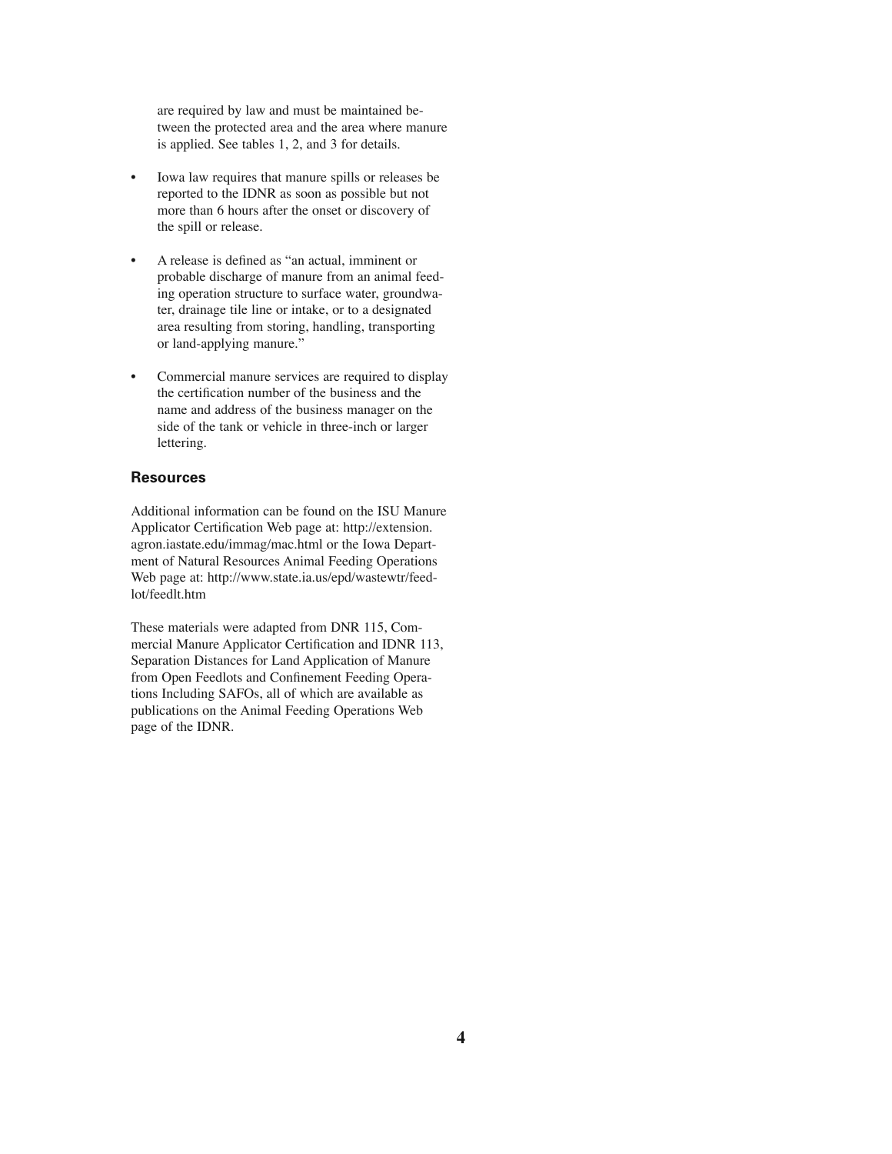are required by law and must be maintained between the protected area and the area where manure is applied. See tables 1, 2, and 3 for details.

- Iowa law requires that manure spills or releases be reported to the IDNR as soon as possible but not more than 6 hours after the onset or discovery of the spill or release.
- A release is defined as "an actual, imminent or probable discharge of manure from an animal feeding operation structure to surface water, groundwater, drainage tile line or intake, or to a designated area resulting from storing, handling, transporting or land-applying manure."
- Commercial manure services are required to display the certification number of the business and the name and address of the business manager on the side of the tank or vehicle in three-inch or larger lettering.

#### **Resources**

Additional information can be found on the ISU Manure Applicator Certification Web page at: http://extension. agron.iastate.edu/immag/mac.html or the Iowa Department of Natural Resources Animal Feeding Operations Web page at: http://www.state.ia.us/epd/wastewtr/feedlot/feedlt.htm

These materials were adapted from DNR 115, Commercial Manure Applicator Certification and IDNR 113, Separation Distances for Land Application of Manure from Open Feedlots and Confinement Feeding Operations Including SAFOs, all of which are available as publications on the Animal Feeding Operations Web page of the IDNR.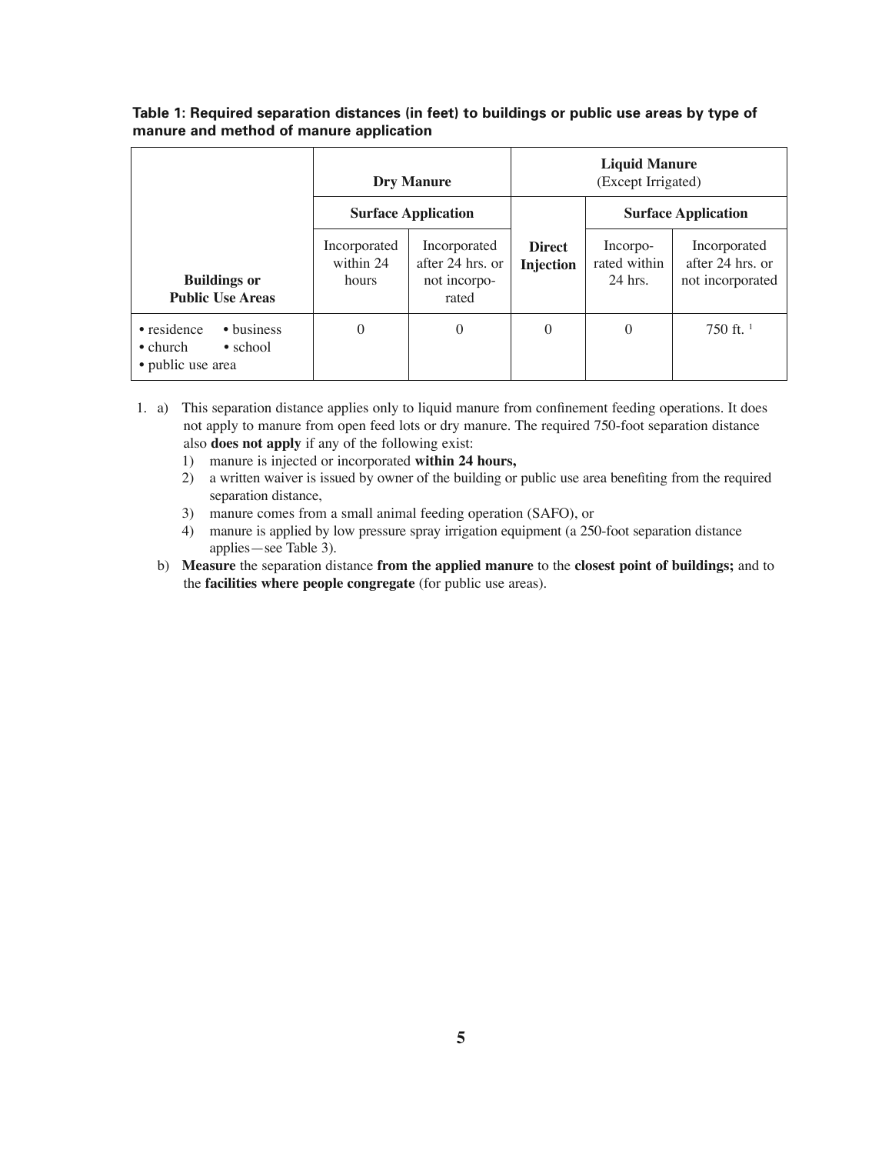|                                                                                        | <b>Dry Manure</b>                  |                                                           | <b>Liquid Manure</b><br>(Except Irrigated) |                                     |                                                      |
|----------------------------------------------------------------------------------------|------------------------------------|-----------------------------------------------------------|--------------------------------------------|-------------------------------------|------------------------------------------------------|
|                                                                                        | <b>Surface Application</b>         |                                                           |                                            | <b>Surface Application</b>          |                                                      |
| <b>Buildings or</b><br><b>Public Use Areas</b>                                         | Incorporated<br>within 24<br>hours | Incorporated<br>after 24 hrs. or<br>not incorpo-<br>rated | <b>Direct</b><br><b>Injection</b>          | Incorpo-<br>rated within<br>24 hrs. | Incorporated<br>after 24 hrs. or<br>not incorporated |
| • business<br>• residence<br>$\bullet$ church<br>$\bullet$ school<br>• public use area | $\theta$                           | $\theta$                                                  | $\mathbf{0}$                               | $\mathbf{0}$                        | 750 ft. $1$                                          |

### **Table 1: Required separation distances (in feet) to buildings or public use areas by type of manure and method of manure application**

- 1. a) This separation distance applies only to liquid manure from confinement feeding operations. It does not apply to manure from open feed lots or dry manure. The required 750-foot separation distance also **does not apply** if any of the following exist:
	- 1) manure is injected or incorporated **within 24 hours,**
	- 2) a written waiver is issued by owner of the building or public use area benefiting from the required separation distance,
	- 3) manure comes from a small animal feeding operation (SAFO), or
	- 4) manure is applied by low pressure spray irrigation equipment (a 250-foot separation distance applies—see Table 3).
	- b) **Measure** the separation distance **from the applied manure** to the **closest point of buildings;** and to the **facilities where people congregate** (for public use areas).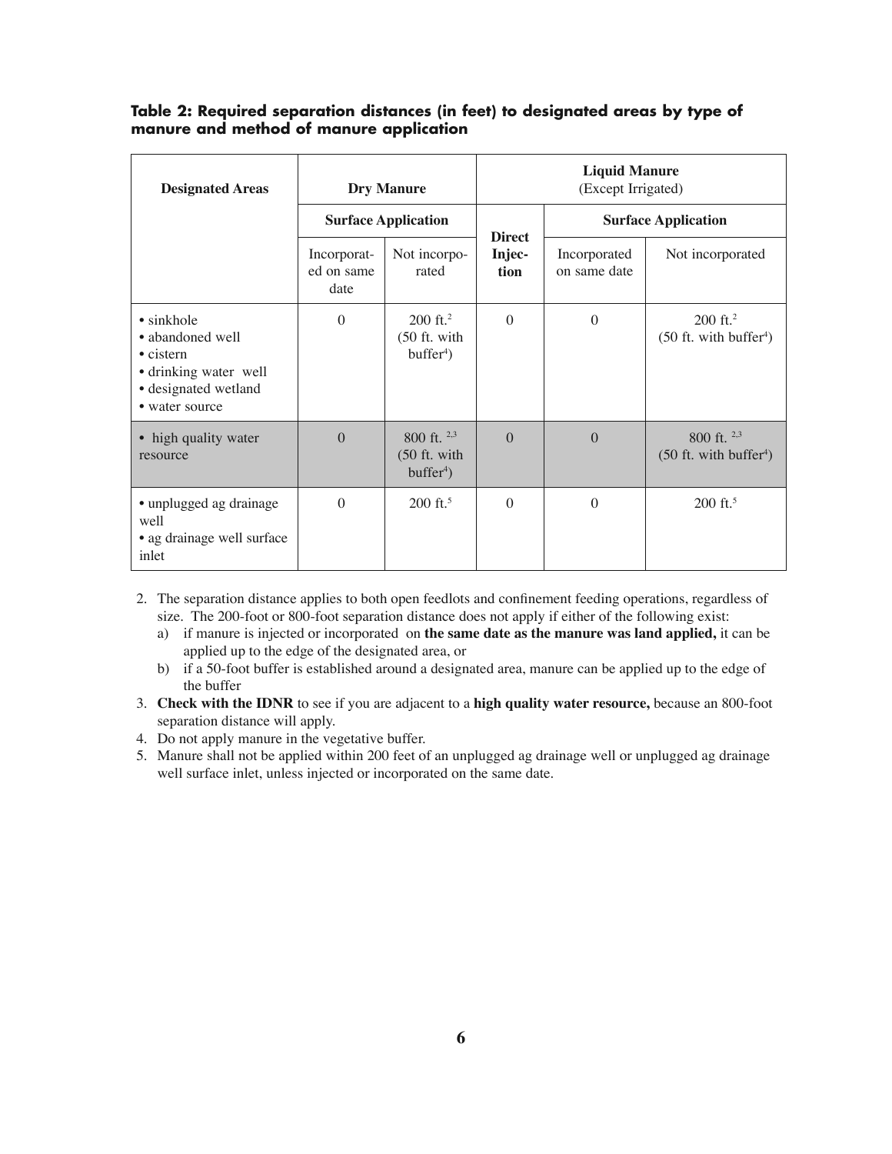| <b>Designated Areas</b>                                                                                                        | <b>Dry Manure</b><br><b>Surface Application</b> |                                                       | <b>Liquid Manure</b><br>(Except Irrigated) |                              |                                                                |
|--------------------------------------------------------------------------------------------------------------------------------|-------------------------------------------------|-------------------------------------------------------|--------------------------------------------|------------------------------|----------------------------------------------------------------|
|                                                                                                                                |                                                 |                                                       | <b>Direct</b>                              | <b>Surface Application</b>   |                                                                |
|                                                                                                                                | Incorporat-<br>ed on same<br>date               | Not incorpo-<br>rated                                 | Injec-<br>tion                             | Incorporated<br>on same date | Not incorporated                                               |
| $\bullet$ sinkhole<br>• abandoned well<br>$\bullet$ cistern<br>• drinking water well<br>· designated wetland<br>• water source | $\theta$                                        | $200$ ft. <sup>2</sup><br>(50 ft. with<br>$buffer4$ ) | $\Omega$                                   | $\Omega$                     | $200$ ft. <sup>2</sup><br>$(50$ ft. with buffer <sup>4</sup> ) |
| • high quality water<br>resource                                                                                               | $\theta$                                        | 800 ft. 2,3<br>$(50$ ft. with<br>$buffer4$ )          | $\Omega$                                   | $\Omega$                     | 800 ft. $2,3$<br>$(50$ ft. with buffer <sup>4</sup> )          |
| • unplugged ag drainage<br>well<br>• ag drainage well surface<br>inlet                                                         | $\theta$                                        | $200 \text{ ft.}^5$                                   | $\theta$                                   | $\theta$                     | 200 ft. <sup>5</sup>                                           |

# **Table 2: Required separation distances (in feet) to designated areas by type of manure and method of manure application**

- 2. The separation distance applies to both open feedlots and confinement feeding operations, regardless of size. The 200-foot or 800-foot separation distance does not apply if either of the following exist:
	- a) if manure is injected or incorporated on **the same date as the manure was land applied,** it can be applied up to the edge of the designated area, or
	- b) if a 50-foot buffer is established around a designated area, manure can be applied up to the edge of the buffer
- 3. **Check with the IDNR** to see if you are adjacent to a **high quality water resource,** because an 800-foot separation distance will apply.
- 4. Do not apply manure in the vegetative buffer.
- 5. Manure shall not be applied within 200 feet of an unplugged ag drainage well or unplugged ag drainage well surface inlet, unless injected or incorporated on the same date.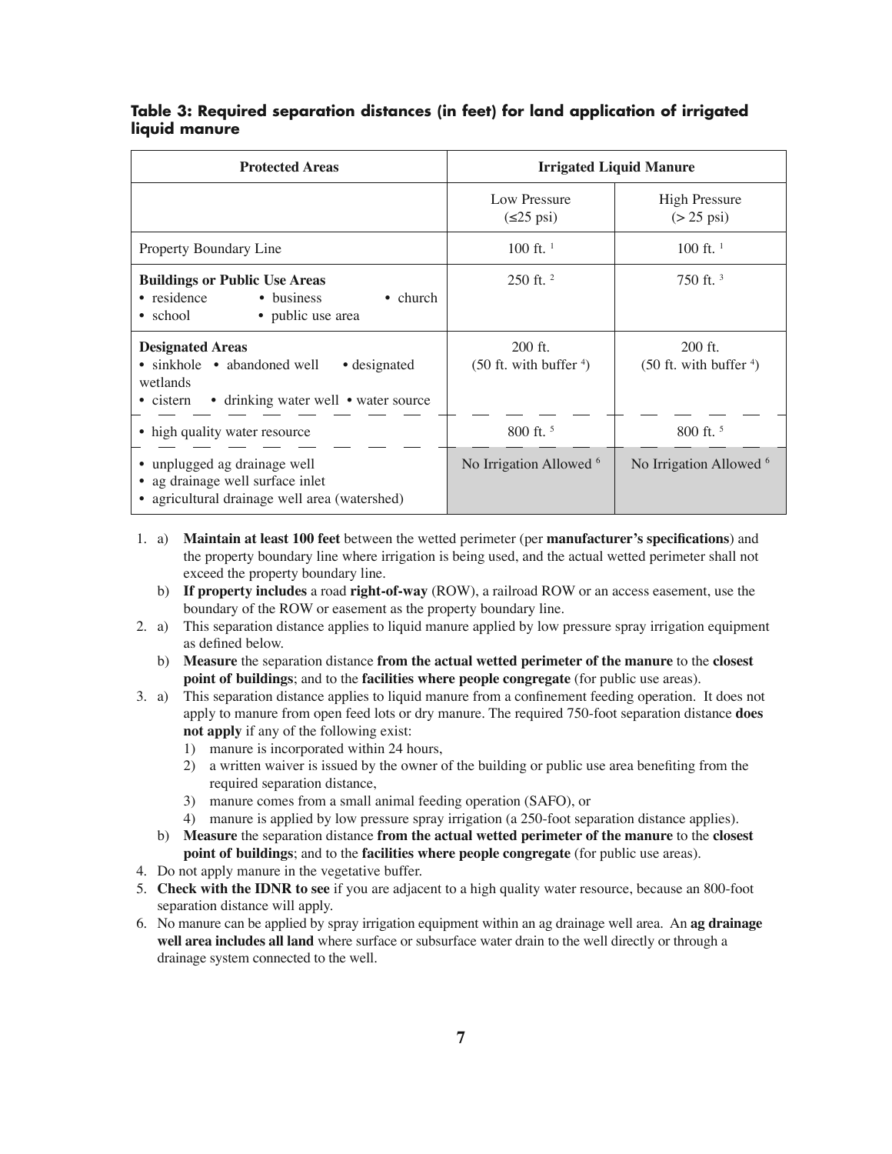# **Table 3: Required separation distances (in feet) for land application of irrigated liquid manure**

| <b>Protected Areas</b>                                                                                                                          | <b>Irrigated Liquid Manure</b>          |                                              |  |  |
|-------------------------------------------------------------------------------------------------------------------------------------------------|-----------------------------------------|----------------------------------------------|--|--|
|                                                                                                                                                 | Low Pressure<br>$(\leq 25 \text{ psi})$ | <b>High Pressure</b><br>$(> 25 \text{ psi})$ |  |  |
| Property Boundary Line                                                                                                                          | 100 ft. $1$                             | 100 ft. $1$                                  |  |  |
| <b>Buildings or Public Use Areas</b><br>• residence<br>• business<br>$\bullet$ church<br>• public use area<br>• school                          | $250$ ft. $^{2}$                        | 750 ft. $3$                                  |  |  |
| <b>Designated Areas</b><br>• sinkhole • abandoned well<br>• designated<br>wetlands<br>• drinking water well • water source<br>$\bullet$ cistern | $200$ ft.<br>$(50$ ft. with buffer $4)$ | $200$ ft.<br>$(50$ ft. with buffer $4)$      |  |  |
| • high quality water resource                                                                                                                   | 800 ft. <sup>5</sup>                    | 800 ft. <sup>5</sup>                         |  |  |
| • unplugged ag drainage well<br>ag drainage well surface inlet<br>• agricultural drainage well area (watershed)                                 | No Irrigation Allowed <sup>6</sup>      | No Irrigation Allowed <sup>6</sup>           |  |  |

- 1. a) **Maintain at least 100 feet** between the wetted perimeter (per **manufacturer's specifi cations**) and the property boundary line where irrigation is being used, and the actual wetted perimeter shall not exceed the property boundary line.
	- b) **If property includes** a road **right-of-way** (ROW), a railroad ROW or an access easement, use the boundary of the ROW or easement as the property boundary line.
- 2. a) This separation distance applies to liquid manure applied by low pressure spray irrigation equipment as defined below.
	- b) **Measure** the separation distance **from the actual wetted perimeter of the manure** to the **closest point of buildings**; and to the **facilities where people congregate** (for public use areas).
- 3. a) This separation distance applies to liquid manure from a confinement feeding operation. It does not apply to manure from open feed lots or dry manure. The required 750-foot separation distance **does not apply** if any of the following exist:
	- 1) manure is incorporated within 24 hours,
	- 2) a written waiver is issued by the owner of the building or public use area benefiting from the required separation distance,
	- 3) manure comes from a small animal feeding operation (SAFO), or
	- 4) manure is applied by low pressure spray irrigation (a 250-foot separation distance applies).
	- b) **Measure** the separation distance **from the actual wetted perimeter of the manure** to the **closest point of buildings**; and to the **facilities where people congregate** (for public use areas).
- 4. Do not apply manure in the vegetative buffer.
- 5. **Check with the IDNR to see** if you are adjacent to a high quality water resource, because an 800-foot separation distance will apply.
- 6. No manure can be applied by spray irrigation equipment within an ag drainage well area. An **ag drainage well area includes all land** where surface or subsurface water drain to the well directly or through a drainage system connected to the well.